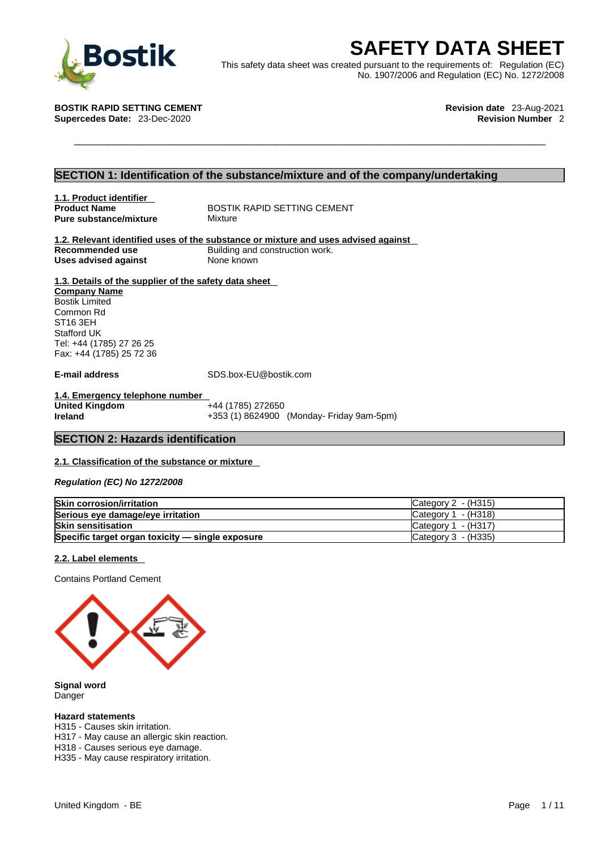

**BOStik**<br>
This safety data sheet was created pursuant to the requirements of: Regulation (EC)<br>
No. 1907/2006 and Regulation (EC) No. 1272/2008<br>
TIK RAPID SETTING CEMENT<br>
Procedes Date: 23-Dec-2020<br>
Revision Number 2 This safety data sheet was created pursuant to the requirements of: Regulation (EC) No. 1907/2006 and Regulation (EC) No. 1272/2008

**BOSTIK RAPID SETTING CEMENT Revision date** 23-Aug-2021 **Supercedes Date: 23-Dec-2020** 

## **SECTION 1: Identification of the substance/mixture and of the company/undertaking**

**1.1. Product identifier Pure substance/mixture** 

**Product Name** BOSTIK RAPID SETTING CEMENT<br> **Pure substance/mixture** Mixture

**1.2. Relevant identified uses of the substance or mixture and uses advised against Building and construction work.<br>None known Uses advised against** 

### **1.3. Details of the supplier of the safety data sheet**

**Company Name** Bostik Limited Common Rd ST16 3EH Stafford UK Tel: +44 (1785) 27 26 25 Fax: +44 (1785) 25 72 36

**E-mail address** SDS.box-EU@bostik.com

**1.4. Emergency telephone number United Kingdom** +44 (1785) 272650<br> **Ireland** +353 (1) 8624900

**Ireland** +353 (1) 8624900 (Monday- Friday 9am-5pm)

## **SECTION 2: Hazards identification**

### **2.1. Classification of the substance or mixture**

*Regulation (EC) No 1272/2008* 

| <b>Skin corrosion/irritation</b>                 | Category 2 - (H315)   |
|--------------------------------------------------|-----------------------|
| Serious eye damage/eye irritation                | Category 1 - (H318)   |
| <b>Skin sensitisation</b>                        | Category $1 - (H317)$ |
| Specific target organ toxicity - single exposure | Category 3 - (H335)   |

#### **2.2. Label elements**

Contains Portland Cement



**Signal word** Danger

#### **Hazard statements**

H315 - Causes skin irritation.

H317 - May cause an allergic skin reaction.

H318 - Causes serious eye damage.

H335 - May cause respiratory irritation.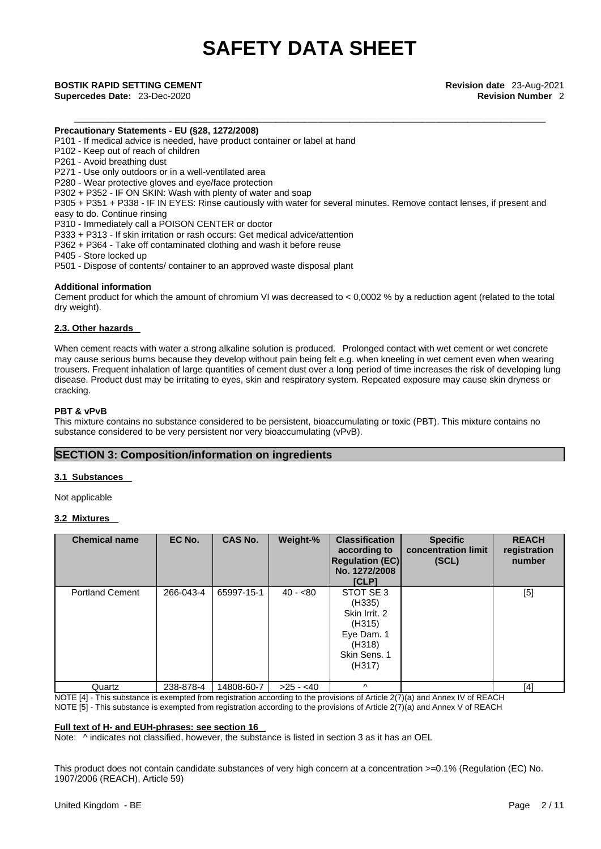### **Precautionary Statements - EU (§28, 1272/2008)**

P101 - If medical advice is needed, have product container or label at hand

P102 - Keep out of reach of children

P261 - Avoid breathing dust

P271 - Use only outdoors or in a well-ventilated area

P280 - Wear protective gloves and eye/face protection

P302 + P352 - IF ON SKIN: Wash with plenty of water and soap

P305 + P351 + P338 - IF IN EYES: Rinse cautiously with water for several minutes. Remove contact lenses, if present and easy to do. Continue rinsing

P310 - Immediately call a POISON CENTER or doctor

P333 + P313 - If skin irritation or rash occurs: Get medical advice/attention

P362 + P364 - Take off contaminated clothing and wash it before reuse

P405 - Store locked up

P501 - Dispose of contents/ container to an approved waste disposal plant

#### **Additional information**

Cement product for which the amount of chromium VI was decreased to  $< 0.0002$  % by a reduction agent (related to the total dry weight).

#### **2.3. Other hazards**

When cement reacts with water a strong alkaline solution is produced. Prolonged contact with wet cement or wet concrete may cause serious burns because they develop without pain being felt e.g. when kneeling in wet cement even when wearing trousers. Frequent inhalation of large quantities of cement dust over a long period of time increases the risk of developing lung disease. Product dust may be irritating to eyes, skin and respiratory system. Repeated exposure may cause skin dryness or cracking.

#### **PBT & vPvB**

This mixture contains no substance considered to be persistent, bioaccumulating or toxic (PBT). This mixture contains no substance considered to be very persistent nor very bioaccumulating (vPvB).

### **SECTION 3: Composition/information on ingredients**

#### **3.1 Substances**

Not applicable

### **3.2 Mixtures**

| <b>Chemical name</b>   | EC No.    | <b>CAS No.</b> | Weight-%   | <b>Classification</b><br>according to<br><b>Regulation (EC)</b><br>No. 1272/2008<br>[CLP]        | <b>Specific</b><br>concentration limit<br>(SCL) | <b>REACH</b><br>registration<br>number |
|------------------------|-----------|----------------|------------|--------------------------------------------------------------------------------------------------|-------------------------------------------------|----------------------------------------|
| <b>Portland Cement</b> | 266-043-4 | 65997-15-1     | $40 - 80$  | STOT SE 3<br>(H335)<br>Skin Irrit, 2<br>(H315)<br>Eye Dam. 1<br>(H318)<br>Skin Sens. 1<br>(H317) |                                                 | [5]                                    |
| Quartz                 | 238-878-4 | 14808-60-7     | $>25 - 40$ | $\wedge$                                                                                         |                                                 | [4]                                    |

NOTE [4] - This substance is exempted from registration according to the provisions of Article 2(7)(a) and Annex IV of REACH NOTE [5] - This substance is exempted from registration according to the provisions of Article 2(7)(a) and Annex V of REACH

#### **Full text of H- and EUH-phrases: see section 16**

Note:  $\wedge$  indicates not classified, however, the substance is listed in section 3 as it has an OEL

This product does not contain candidate substances of very high concern at a concentration >=0.1% (Regulation (EC) No. 1907/2006 (REACH), Article 59)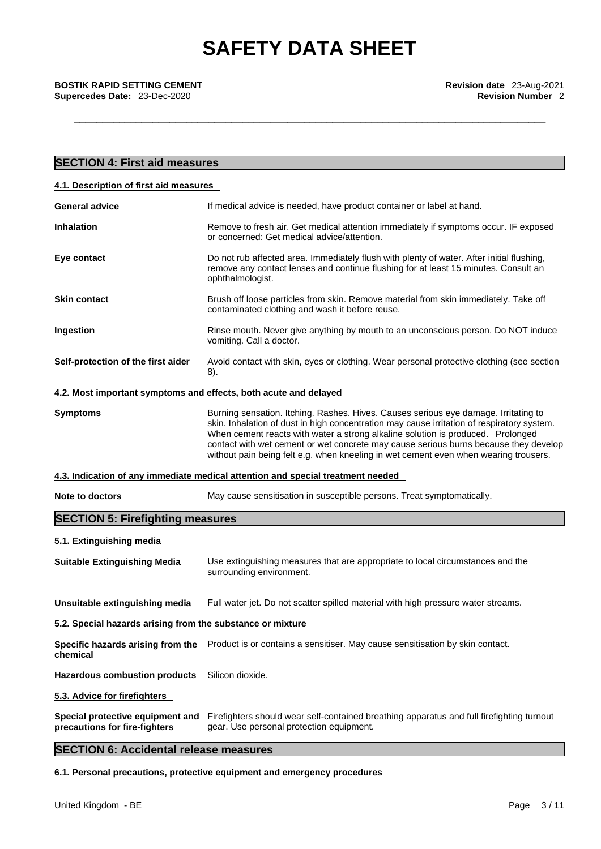**Supercedes Date: 23-Dec-2020** 

| <b>SECTION 4: First aid measures</b>                              |                                                                                                                                                                                                                                                                                                                                                                                                                                                      |
|-------------------------------------------------------------------|------------------------------------------------------------------------------------------------------------------------------------------------------------------------------------------------------------------------------------------------------------------------------------------------------------------------------------------------------------------------------------------------------------------------------------------------------|
| 4.1. Description of first aid measures                            |                                                                                                                                                                                                                                                                                                                                                                                                                                                      |
| <b>General advice</b>                                             | If medical advice is needed, have product container or label at hand.                                                                                                                                                                                                                                                                                                                                                                                |
| <b>Inhalation</b>                                                 | Remove to fresh air. Get medical attention immediately if symptoms occur. IF exposed<br>or concerned: Get medical advice/attention.                                                                                                                                                                                                                                                                                                                  |
| Eye contact                                                       | Do not rub affected area. Immediately flush with plenty of water. After initial flushing,<br>remove any contact lenses and continue flushing for at least 15 minutes. Consult an<br>ophthalmologist.                                                                                                                                                                                                                                                 |
| <b>Skin contact</b>                                               | Brush off loose particles from skin. Remove material from skin immediately. Take off<br>contaminated clothing and wash it before reuse.                                                                                                                                                                                                                                                                                                              |
| Ingestion                                                         | Rinse mouth. Never give anything by mouth to an unconscious person. Do NOT induce<br>vomiting. Call a doctor.                                                                                                                                                                                                                                                                                                                                        |
| Self-protection of the first aider                                | Avoid contact with skin, eyes or clothing. Wear personal protective clothing (see section<br>8).                                                                                                                                                                                                                                                                                                                                                     |
| 4.2. Most important symptoms and effects, both acute and delayed  |                                                                                                                                                                                                                                                                                                                                                                                                                                                      |
| <b>Symptoms</b>                                                   | Burning sensation. Itching. Rashes. Hives. Causes serious eye damage. Irritating to<br>skin. Inhalation of dust in high concentration may cause irritation of respiratory system.<br>When cement reacts with water a strong alkaline solution is produced. Prolonged<br>contact with wet cement or wet concrete may cause serious burns because they develop<br>without pain being felt e.g. when kneeling in wet cement even when wearing trousers. |
|                                                                   | 4.3. Indication of any immediate medical attention and special treatment needed                                                                                                                                                                                                                                                                                                                                                                      |
| Note to doctors                                                   | May cause sensitisation in susceptible persons. Treat symptomatically.                                                                                                                                                                                                                                                                                                                                                                               |
| <b>SECTION 5: Firefighting measures</b>                           |                                                                                                                                                                                                                                                                                                                                                                                                                                                      |
| 5.1. Extinguishing media                                          |                                                                                                                                                                                                                                                                                                                                                                                                                                                      |
| <b>Suitable Extinguishing Media</b>                               | Use extinguishing measures that are appropriate to local circumstances and the<br>surrounding environment.                                                                                                                                                                                                                                                                                                                                           |
| Unsuitable extinguishing media                                    | Full water jet. Do not scatter spilled material with high pressure water streams.                                                                                                                                                                                                                                                                                                                                                                    |
| 5.2. Special hazards arising from the substance or mixture        |                                                                                                                                                                                                                                                                                                                                                                                                                                                      |
| chemical                                                          | Specific hazards arising from the Product is or contains a sensitiser. May cause sensitisation by skin contact.                                                                                                                                                                                                                                                                                                                                      |
| <b>Hazardous combustion products</b>                              | Silicon dioxide.                                                                                                                                                                                                                                                                                                                                                                                                                                     |
| 5.3. Advice for firefighters                                      |                                                                                                                                                                                                                                                                                                                                                                                                                                                      |
| Special protective equipment and<br>precautions for fire-fighters | Firefighters should wear self-contained breathing apparatus and full firefighting turnout<br>gear. Use personal protection equipment.                                                                                                                                                                                                                                                                                                                |

# **SECTION 6: Accidental release measures**

**6.1. Personal precautions, protective equipment and emergency procedures**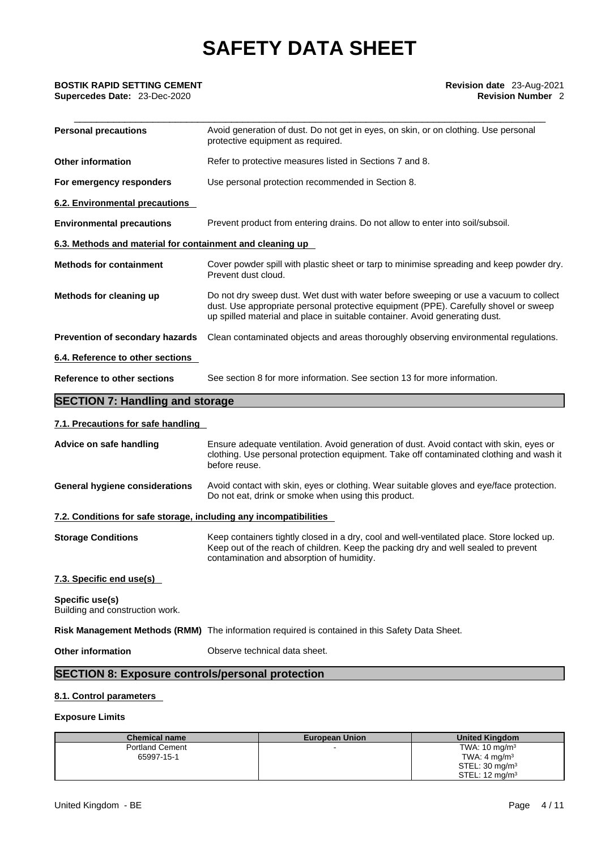**Supercedes Date: 23-Dec-2020** 

| <b>Personal precautions</b>                               | Avoid generation of dust. Do not get in eyes, on skin, or on clothing. Use personal<br>protective equipment as required.                                                                                                                                     |
|-----------------------------------------------------------|--------------------------------------------------------------------------------------------------------------------------------------------------------------------------------------------------------------------------------------------------------------|
| <b>Other information</b>                                  | Refer to protective measures listed in Sections 7 and 8.                                                                                                                                                                                                     |
| For emergency responders                                  | Use personal protection recommended in Section 8.                                                                                                                                                                                                            |
| 6.2. Environmental precautions                            |                                                                                                                                                                                                                                                              |
| <b>Environmental precautions</b>                          | Prevent product from entering drains. Do not allow to enter into soil/subsoil.                                                                                                                                                                               |
| 6.3. Methods and material for containment and cleaning up |                                                                                                                                                                                                                                                              |
| <b>Methods for containment</b>                            | Cover powder spill with plastic sheet or tarp to minimise spreading and keep powder dry.<br>Prevent dust cloud.                                                                                                                                              |
| Methods for cleaning up                                   | Do not dry sweep dust. Wet dust with water before sweeping or use a vacuum to collect<br>dust. Use appropriate personal protective equipment (PPE). Carefully shovel or sweep<br>up spilled material and place in suitable container. Avoid generating dust. |
| Prevention of secondary hazards                           | Clean contaminated objects and areas thoroughly observing environmental regulations.                                                                                                                                                                         |
| 6.4. Reference to other sections                          |                                                                                                                                                                                                                                                              |
| Reference to other sections                               | See section 8 for more information. See section 13 for more information.                                                                                                                                                                                     |
|                                                           |                                                                                                                                                                                                                                                              |

# **SECTION 7: Handling and storage**

## **7.1. Precautions for safe handling**

| Advice on safe handling                                           | Ensure adequate ventilation. Avoid generation of dust. Avoid contact with skin, eyes or<br>clothing. Use personal protection equipment. Take off contaminated clothing and wash it<br>before reuse.                          |  |  |
|-------------------------------------------------------------------|------------------------------------------------------------------------------------------------------------------------------------------------------------------------------------------------------------------------------|--|--|
| General hygiene considerations                                    | Avoid contact with skin, eyes or clothing. Wear suitable gloves and eye/face protection.<br>Do not eat, drink or smoke when using this product.                                                                              |  |  |
| 7.2. Conditions for safe storage, including any incompatibilities |                                                                                                                                                                                                                              |  |  |
| <b>Storage Conditions</b>                                         | Keep containers tightly closed in a dry, cool and well-ventilated place. Store locked up.<br>Keep out of the reach of children. Keep the packing dry and well sealed to prevent<br>contamination and absorption of humidity. |  |  |
| 7.3. Specific end use(s)                                          |                                                                                                                                                                                                                              |  |  |
| Specific use(s)<br>Building and construction work.                |                                                                                                                                                                                                                              |  |  |
|                                                                   | Risk Management Methods (RMM) The information required is contained in this Safety Data Sheet.                                                                                                                               |  |  |
| <b>Other information</b>                                          | Observe technical data sheet.                                                                                                                                                                                                |  |  |
| <b>SECTION 8: Exposure controls/personal protection</b>           |                                                                                                                                                                                                                              |  |  |

## **8.1. Control parameters**

## **Exposure Limits**

| <b>Chemical name</b>   | <b>European Union</b> | <b>United Kingdom</b>     |
|------------------------|-----------------------|---------------------------|
| <b>Portland Cement</b> |                       | TWA: $10 \text{ mg/m}^3$  |
| 65997-15-1             |                       | TWA: $4 \text{ mg/m}^3$   |
|                        |                       | STEL: $30 \text{ mg/m}^3$ |
|                        |                       | STEL: $12 \text{ mg/m}^3$ |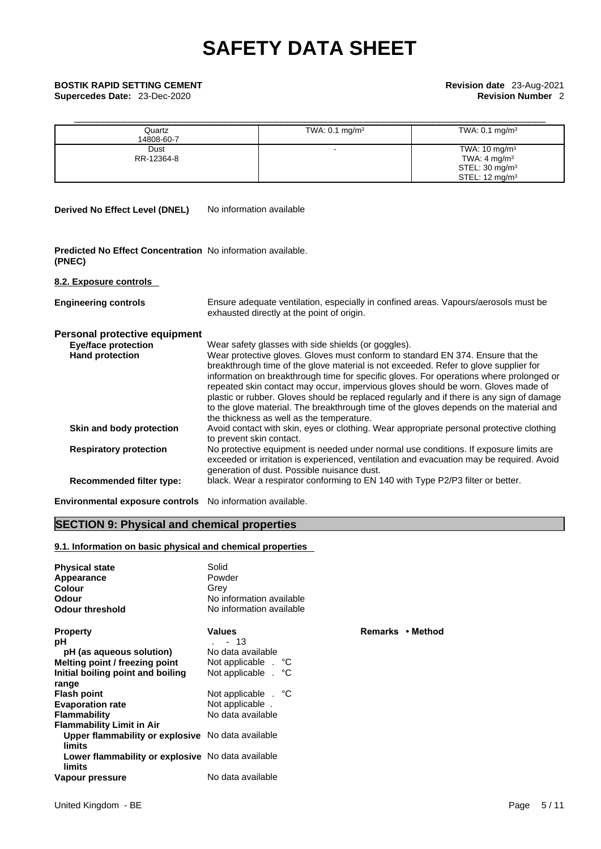**Supercedes Date:** 23-Dec-2020 **Revision Number** 2

| <b>BOSTIK RAPID SETTING CEMENT</b><br>Supercedes Date: 23-Dec-2020 |                      |                           | Revision date 23-Aug-2021<br><b>Revision Number 2</b>                                                          |  |  |
|--------------------------------------------------------------------|----------------------|---------------------------|----------------------------------------------------------------------------------------------------------------|--|--|
|                                                                    | Quartz<br>14808-60-7 | TWA: $0.1 \text{ mg/m}^3$ | TWA: $0.1 \text{ mg/m}^3$                                                                                      |  |  |
|                                                                    | Dust<br>RR-12364-8   |                           | TWA: $10 \text{ mg/m}^3$<br>TWA: 4 mg/m <sup>3</sup><br>STEL: $30 \text{ mg/m}^3$<br>STEL: $12 \text{ mg/m}^3$ |  |  |

**Derived No Effect Level (DNEL)** No information available

| <b>Predicted No Effect Concentration</b> No information available. |  |
|--------------------------------------------------------------------|--|
| (PNEC)                                                             |  |

**8.2. Exposure controls** 

| <b>Engineering controls</b>     | Ensure adequate ventilation, especially in confined areas. Vapours/aerosols must be<br>exhausted directly at the point of origin.                                                                                                                                                                                                                                                                                                                                                                                                                                                           |
|---------------------------------|---------------------------------------------------------------------------------------------------------------------------------------------------------------------------------------------------------------------------------------------------------------------------------------------------------------------------------------------------------------------------------------------------------------------------------------------------------------------------------------------------------------------------------------------------------------------------------------------|
| Personal protective equipment   |                                                                                                                                                                                                                                                                                                                                                                                                                                                                                                                                                                                             |
| <b>Eye/face protection</b>      | Wear safety glasses with side shields (or goggles).                                                                                                                                                                                                                                                                                                                                                                                                                                                                                                                                         |
| <b>Hand protection</b>          | Wear protective gloves. Gloves must conform to standard EN 374. Ensure that the<br>breakthrough time of the glove material is not exceeded. Refer to glove supplier for<br>information on breakthrough time for specific gloves. For operations where prolonged or<br>repeated skin contact may occur, impervious gloves should be worn. Gloves made of<br>plastic or rubber. Gloves should be replaced regularly and if there is any sign of damage<br>to the glove material. The breakthrough time of the gloves depends on the material and<br>the thickness as well as the temperature. |
| Skin and body protection        | Avoid contact with skin, eyes or clothing. Wear appropriate personal protective clothing<br>to prevent skin contact.                                                                                                                                                                                                                                                                                                                                                                                                                                                                        |
| <b>Respiratory protection</b>   | No protective equipment is needed under normal use conditions. If exposure limits are<br>exceeded or irritation is experienced, ventilation and evacuation may be required. Avoid<br>generation of dust. Possible nuisance dust.                                                                                                                                                                                                                                                                                                                                                            |
| <b>Recommended filter type:</b> | black. Wear a respirator conforming to EN 140 with Type P2/P3 filter or better.                                                                                                                                                                                                                                                                                                                                                                                                                                                                                                             |
|                                 |                                                                                                                                                                                                                                                                                                                                                                                                                                                                                                                                                                                             |

**Environmental exposure controls** No information available.

# **SECTION 9: Physical and chemical properties**

## **9.1. Information on basic physical and chemical properties**

| <b>Physical state</b>                                       | Solid                    |             |
|-------------------------------------------------------------|--------------------------|-------------|
| Appearance                                                  | Powder                   |             |
| <b>Colour</b>                                               | Grey                     |             |
| <b>Odour</b>                                                | No information available |             |
| <b>Odour threshold</b>                                      | No information available |             |
| <b>Property</b>                                             | <b>Values</b>            | Remarks • N |
| рH                                                          | - 13                     |             |
| pH (as aqueous solution)                                    | No data available        |             |
| Melting point / freezing point                              | Not applicable . °C      |             |
| Initial boiling point and boiling                           | Not applicable . °C      |             |
| range                                                       |                          |             |
| <b>Flash point</b>                                          | Not applicable . °C      |             |
| <b>Evaporation rate</b>                                     | Not applicable.          |             |
| <b>Flammability</b>                                         | No data available        |             |
| <b>Flammability Limit in Air</b>                            |                          |             |
| Upper flammability or explosive No data available<br>limits |                          |             |
| Lower flammability or explosive No data available<br>limits |                          |             |
| Vapour pressure                                             | No data available        |             |

**Property Values Remarks • Method**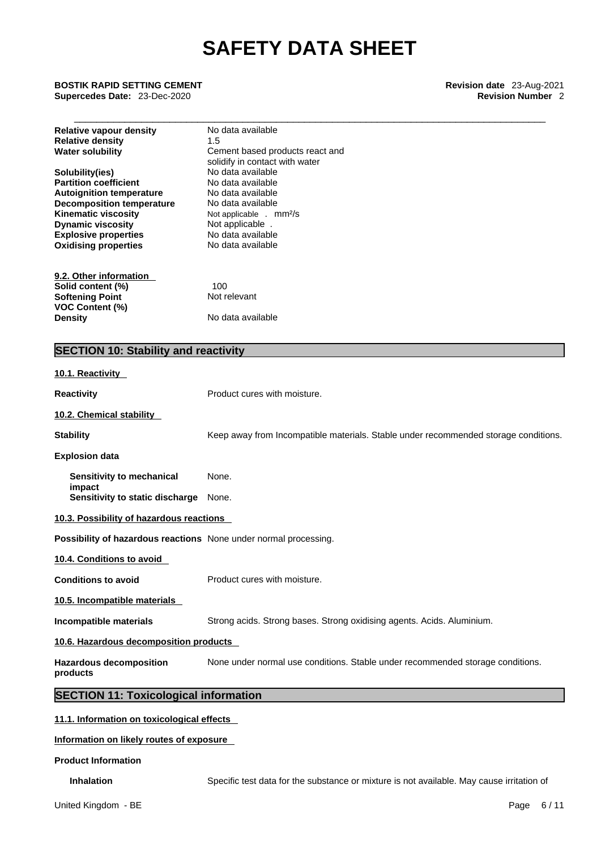\_\_\_\_\_\_\_\_\_\_\_\_\_\_\_\_\_\_\_\_\_\_\_\_\_\_\_\_\_\_\_\_\_\_\_\_\_\_\_\_\_\_\_\_\_\_\_\_\_\_\_\_\_\_\_\_\_\_\_\_\_\_\_\_\_\_\_\_\_\_\_\_\_\_\_\_\_\_\_\_\_\_\_\_ **BOSTIK RAPID SETTING CEMENT Revision date** 23-Aug-2021

**Supercedes Date:** 23-Dec-2020 **Revision Number** 2

| <b>Relative vapour density</b><br><b>Relative density</b><br><b>Water solubility</b>                                                                                                                                                           | No data available<br>1.5<br>Cement based products react and<br>solidify in contact with water                                                                                        |
|------------------------------------------------------------------------------------------------------------------------------------------------------------------------------------------------------------------------------------------------|--------------------------------------------------------------------------------------------------------------------------------------------------------------------------------------|
| Solubility(ies)<br><b>Partition coefficient</b><br><b>Autoignition temperature</b><br><b>Decomposition temperature</b><br><b>Kinematic viscosity</b><br><b>Dynamic viscosity</b><br><b>Explosive properties</b><br><b>Oxidising properties</b> | No data available<br>No data available<br>No data available<br>No data available<br>Not applicable . mm <sup>2</sup> /s<br>Not applicable.<br>No data available<br>No data available |
| 9.2. Other information<br>Solid content (%)<br><b>Softening Point</b><br>VOC Content (%)<br><b>Density</b>                                                                                                                                     | 100<br>Not relevant<br>No data available                                                                                                                                             |
| <b>SECTION 10: Stability and reactivity</b>                                                                                                                                                                                                    |                                                                                                                                                                                      |
| 10.1. Reactivity                                                                                                                                                                                                                               |                                                                                                                                                                                      |
| <b>Reactivity</b>                                                                                                                                                                                                                              | Product cures with moisture.                                                                                                                                                         |
| 10.2. Chemical stability                                                                                                                                                                                                                       |                                                                                                                                                                                      |
| <b>Stability</b>                                                                                                                                                                                                                               | Keep away from Incompatible materials. Stable under recommended storage conditions.                                                                                                  |
| <b>Explosion data</b>                                                                                                                                                                                                                          |                                                                                                                                                                                      |
| Sensitivity to mechanical                                                                                                                                                                                                                      | None.                                                                                                                                                                                |
| impact<br>Sensitivity to static discharge                                                                                                                                                                                                      | None.                                                                                                                                                                                |
| 10.3. Possibility of hazardous reactions                                                                                                                                                                                                       |                                                                                                                                                                                      |
| Possibility of hazardous reactions None under normal processing.                                                                                                                                                                               |                                                                                                                                                                                      |
| 10.4. Conditions to avoid                                                                                                                                                                                                                      |                                                                                                                                                                                      |
| <b>Conditions to avoid</b>                                                                                                                                                                                                                     | Product cures with moisture.                                                                                                                                                         |
| 10.5. Incompatible materials                                                                                                                                                                                                                   |                                                                                                                                                                                      |
| Incompatible materials                                                                                                                                                                                                                         | Strong acids. Strong bases. Strong oxidising agents. Acids. Aluminium.                                                                                                               |
| 10.6. Hazardous decomposition products                                                                                                                                                                                                         |                                                                                                                                                                                      |
| <b>Hazardous decomposition</b><br>products                                                                                                                                                                                                     | None under normal use conditions. Stable under recommended storage conditions.                                                                                                       |
| <b>SECTION 11: Toxicological information</b>                                                                                                                                                                                                   |                                                                                                                                                                                      |

**11.1. Information on toxicological effects**

**Information on likely routes of exposure**

**Product Information**

**Inhalation** Specific test data for the substance or mixture is not available. May cause irritation of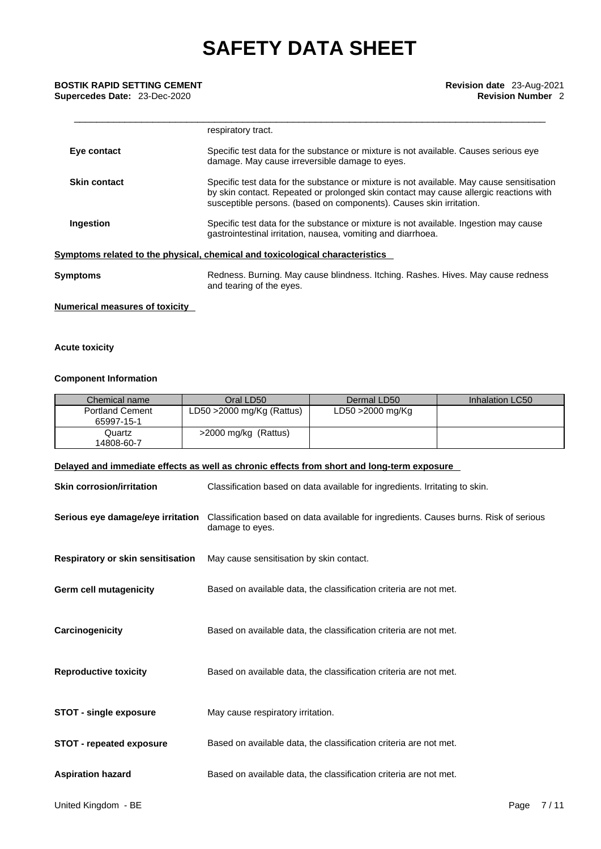**Supercedes Date: 23-Dec-2020** 

|                     | respiratory tract.                                                                                                                                                                                                                                        |
|---------------------|-----------------------------------------------------------------------------------------------------------------------------------------------------------------------------------------------------------------------------------------------------------|
| Eye contact         | Specific test data for the substance or mixture is not available. Causes serious eye<br>damage. May cause irreversible damage to eyes.                                                                                                                    |
| <b>Skin contact</b> | Specific test data for the substance or mixture is not available. May cause sensitisation<br>by skin contact. Repeated or prolonged skin contact may cause allergic reactions with<br>susceptible persons. (based on components). Causes skin irritation. |
| Ingestion           | Specific test data for the substance or mixture is not available. Ingestion may cause<br>gastrointestinal irritation, nausea, vomiting and diarrhoea.                                                                                                     |
|                     | Symptoms related to the physical, chemical and toxicological characteristics                                                                                                                                                                              |
| Symptoms            | Redness. Burning. May cause blindness. Itching. Rashes. Hives. May cause redness<br>and tearing of the eyes.                                                                                                                                              |

## **Numerical measures of toxicity**

### **Acute toxicity**

### **Component Information**

| Chemical name                        | Oral LD50                    | Dermal LD50      | Inhalation LC50 |
|--------------------------------------|------------------------------|------------------|-----------------|
| <b>Portland Cement</b><br>65997-15-1 | LD50 $>$ 2000 mg/Kg (Rattus) | LD50 >2000 mg/Kg |                 |
| Quartz<br>14808-60-7                 | >2000 mg/kg (Rattus)         |                  |                 |

### **Delayed and immediate effects as well as chronic effects from short and long-term exposure**

| <b>Skin corrosion/irritation</b>  | Classification based on data available for ingredients. Irritating to skin.                              |
|-----------------------------------|----------------------------------------------------------------------------------------------------------|
| Serious eye damage/eye irritation | Classification based on data available for ingredients. Causes burns. Risk of serious<br>damage to eyes. |
| Respiratory or skin sensitisation | May cause sensitisation by skin contact.                                                                 |
| <b>Germ cell mutagenicity</b>     | Based on available data, the classification criteria are not met.                                        |
| Carcinogenicity                   | Based on available data, the classification criteria are not met.                                        |
| <b>Reproductive toxicity</b>      | Based on available data, the classification criteria are not met.                                        |
| <b>STOT - single exposure</b>     | May cause respiratory irritation.                                                                        |
| <b>STOT - repeated exposure</b>   | Based on available data, the classification criteria are not met.                                        |
| <b>Aspiration hazard</b>          | Based on available data, the classification criteria are not met.                                        |
|                                   |                                                                                                          |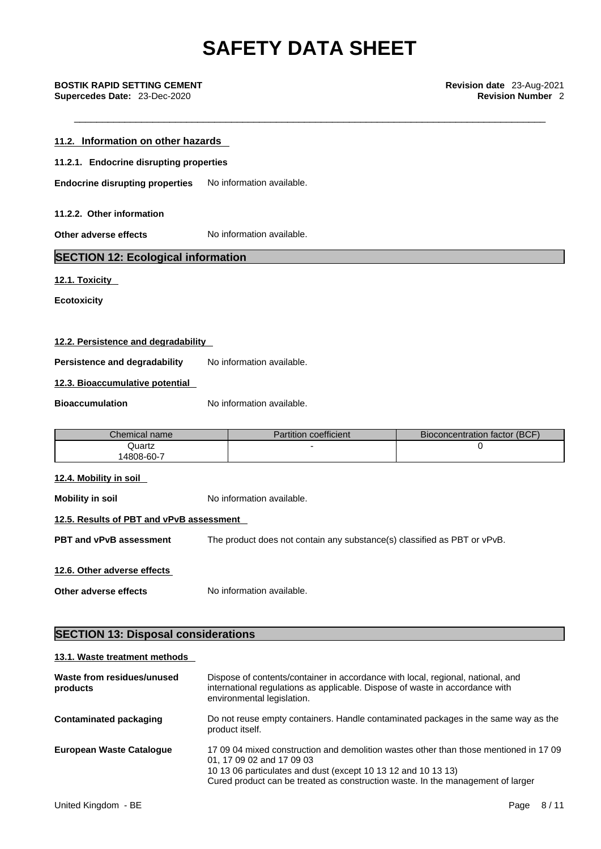| 11.2. Information on other hazards        |                           |  |
|-------------------------------------------|---------------------------|--|
| 11.2.1. Endocrine disrupting properties   |                           |  |
| <b>Endocrine disrupting properties</b>    | No information available. |  |
| 11.2.2. Other information                 |                           |  |
| Other adverse effects                     | No information available. |  |
| <b>SECTION 12: Ecological information</b> |                           |  |
|                                           |                           |  |

**12.1. Toxicity** 

**Ecotoxicity** 

### **12.2. Persistence and degradability**

**Persistence and degradability** No information available.

**12.3. Bioaccumulative potential** 

**Bioaccumulation** No information available.

| Chemical name | Partition coefficient | Bioconcentration factor (BCF) |
|---------------|-----------------------|-------------------------------|
| Quartz        |                       |                               |
| 4808-60-7     |                       |                               |

#### **12.4. Mobility in soil**

**Mobility in soil** No information available.

# **12.5. Results of PBT and vPvB assessment**

**PBT and vPvB assessment** The product does not contain any substance(s) classified as PBT or vPvB.

**12.6. Other adverse effects**

**Other adverse effects** No information available.

## **SECTION 13: Disposal considerations**

## **13.1. Waste treatment methods**

| Waste from residues/unused<br>products | Dispose of contents/container in accordance with local, regional, national, and<br>international regulations as applicable. Dispose of waste in accordance with<br>environmental legislation.                                                                          |
|----------------------------------------|------------------------------------------------------------------------------------------------------------------------------------------------------------------------------------------------------------------------------------------------------------------------|
| Contaminated packaging                 | Do not reuse empty containers. Handle contaminated packages in the same way as the<br>product itself.                                                                                                                                                                  |
| <b>European Waste Catalogue</b>        | 17 09 04 mixed construction and demolition wastes other than those mentioned in 17 09<br>01, 17 09 02 and 17 09 03<br>10 13 06 particulates and dust (except 10 13 12 and 10 13 13)<br>Cured product can be treated as construction waste. In the management of larger |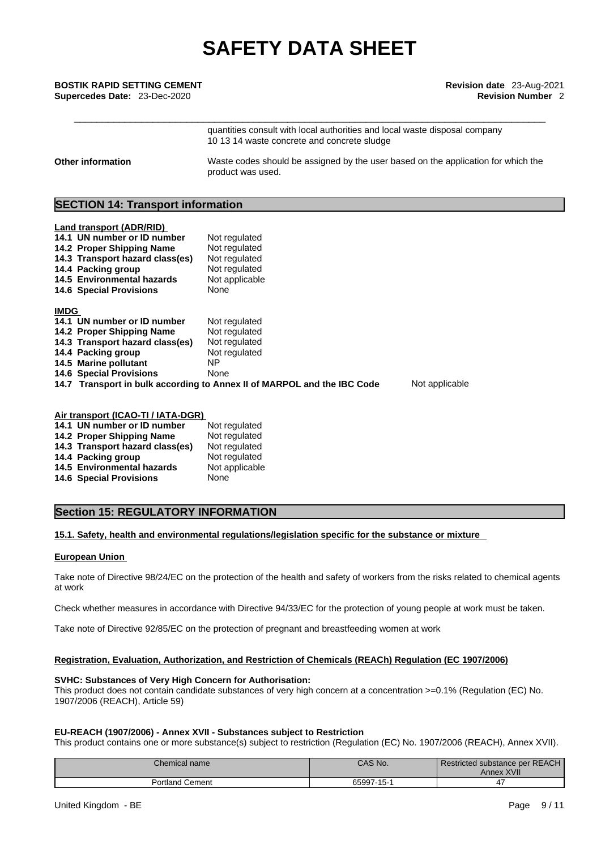# \_\_\_\_\_\_\_\_\_\_\_\_\_\_\_\_\_\_\_\_\_\_\_\_\_\_\_\_\_\_\_\_\_\_\_\_\_\_\_\_\_\_\_\_\_\_\_\_\_\_\_\_\_\_\_\_\_\_\_\_\_\_\_\_\_\_\_\_\_\_\_\_\_\_\_\_\_\_\_\_\_\_\_\_ **BOSTIK RAPID SETTING CEMENT Revision date** 23-Aug-2021 **Supercedes Date:** 23-Dec-2020 **Revision Number** 2

|                   | quantities consult with local authorities and local waste disposal company<br>10 13 14 waste concrete and concrete sludge |
|-------------------|---------------------------------------------------------------------------------------------------------------------------|
| Other information | Waste codes should be assigned by the user based on the application for which the<br>product was used.                    |

## **SECTION 14: Transport information**

| Land transport (ADR/RID)                                                |                |                |
|-------------------------------------------------------------------------|----------------|----------------|
| 14.1 UN number or ID number                                             | Not regulated  |                |
| 14.2 Proper Shipping Name                                               | Not regulated  |                |
| 14.3 Transport hazard class(es)                                         | Not regulated  |                |
| 14.4 Packing group                                                      | Not regulated  |                |
| 14.5 Environmental hazards                                              | Not applicable |                |
| <b>14.6 Special Provisions</b>                                          | None           |                |
|                                                                         |                |                |
| <b>IMDG</b>                                                             |                |                |
| 14.1 UN number or ID number                                             | Not regulated  |                |
| 14.2 Proper Shipping Name                                               | Not regulated  |                |
| 14.3 Transport hazard class(es)                                         | Not regulated  |                |
| 14.4 Packing group                                                      | Not regulated  |                |
| 14.5 Marine pollutant                                                   | NP.            |                |
| <b>14.6 Special Provisions</b>                                          | None           |                |
| 14.7 Transport in bulk according to Annex II of MARPOL and the IBC Code |                | Not applicable |
|                                                                         |                |                |
|                                                                         |                |                |
| Air transport (ICAO-TI / IATA-DGR)                                      |                |                |

| 14.1 UN number or ID number       | Not regulated  |
|-----------------------------------|----------------|
| 14.2 Proper Shipping Name         | Not regulated  |
| 14.3 Transport hazard class(es)   | Not regulated  |
| 14.4 Packing group                | Not regulated  |
| <b>14.5 Environmental hazards</b> | Not applicable |
| <b>14.6 Special Provisions</b>    | None           |
|                                   |                |

# **Section 15: REGULATORY INFORMATION**

### **15.1. Safety, health and environmental regulations/legislation specific for the substance or mixture**

#### **European Union**

Take note of Directive 98/24/EC on the protection of the health and safety of workers from the risks related to chemical agents at work

Check whether measures in accordance with Directive 94/33/EC for the protection of young people at work must be taken.

Take note of Directive 92/85/EC on the protection of pregnant and breastfeeding women at work

### **Registration, Evaluation, Authorization, and Restriction of Chemicals (REACh) Regulation (EC 1907/2006)**

#### **SVHC: Substances of Very High Concern for Authorisation:**

This product does not contain candidate substances of very high concern at a concentration >=0.1% (Regulation (EC) No. 1907/2006 (REACH), Article 59)

### **EU-REACH (1907/2006) - Annex XVII - Substances subject to Restriction**

This product contains one or more substance(s) subject to restriction (Regulation (EC) No. 1907/2006 (REACH), Annex XVII).

| Chemical name      | CAS No.              | Restricted substance per REACH<br>XVII<br>Annex |
|--------------------|----------------------|-------------------------------------------------|
| Portland<br>Cement | 65997<br>$1 - 1 - 1$ | 4,                                              |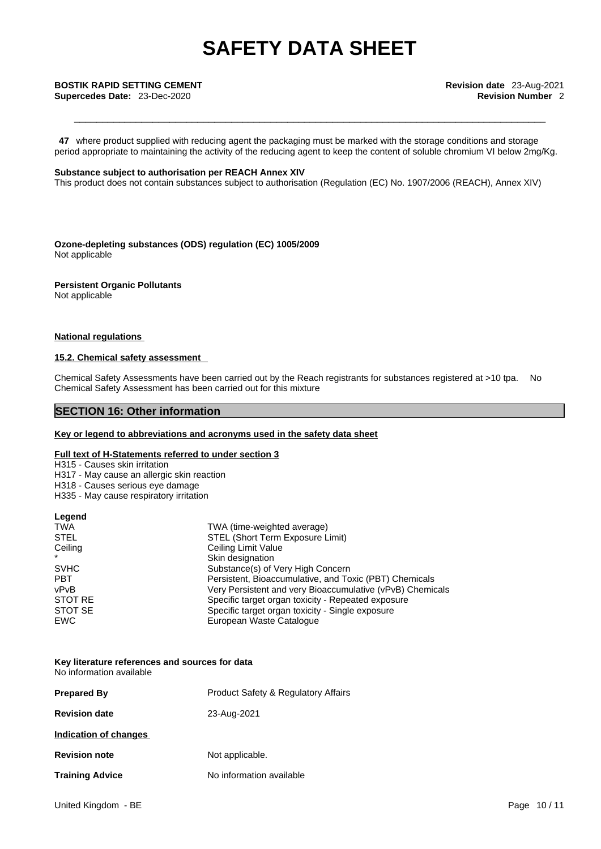**47** where product supplied with reducing agent the packaging must be marked with the storage conditions and storage period appropriate to maintaining the activity of the reducing agent to keep the content of soluble chromium VI below 2mg/Kg.

#### **Substance subject to authorisation per REACH Annex XIV**

This product does not contain substances subject to authorisation (Regulation (EC) No. 1907/2006 (REACH), Annex XIV)

**Ozone-depleting substances (ODS) regulation (EC) 1005/2009** Not applicable

#### **Persistent Organic Pollutants**

Not applicable

### **National regulations**

### **15.2. Chemical safety assessment**

Chemical Safety Assessments have been carried out by the Reach registrants for substances registered at >10 tpa. No Chemical Safety Assessment has been carried out for this mixture

## **SECTION 16: Other information**

#### **Key or legend to abbreviations and acronyms used in the safety data sheet**

### **Full text of H-Statements referred to under section 3**

H315 - Causes skin irritation

- H317 May cause an allergic skin reaction
- H318 Causes serious eye damage
- H335 May cause respiratory irritation

#### **Legend**

| <b>TWA</b>  | TWA (time-weighted average)                               |
|-------------|-----------------------------------------------------------|
| <b>STEL</b> | STEL (Short Term Exposure Limit)                          |
| Ceiling     | Ceiling Limit Value                                       |
| $\star$     | Skin designation                                          |
| <b>SVHC</b> | Substance(s) of Very High Concern                         |
| <b>PBT</b>  | Persistent, Bioaccumulative, and Toxic (PBT) Chemicals    |
| vPvB        | Very Persistent and very Bioaccumulative (vPvB) Chemicals |
| STOT RE     | Specific target organ toxicity - Repeated exposure        |
| STOT SE     | Specific target organ toxicity - Single exposure          |
| EWC         | European Waste Catalogue                                  |

#### **Key literature references and sources for data** No information available

| <b>Product Safety &amp; Regulatory Affairs</b> |
|------------------------------------------------|
| 23-Aug-2021                                    |
|                                                |
| Not applicable.                                |
| No information available                       |
|                                                |